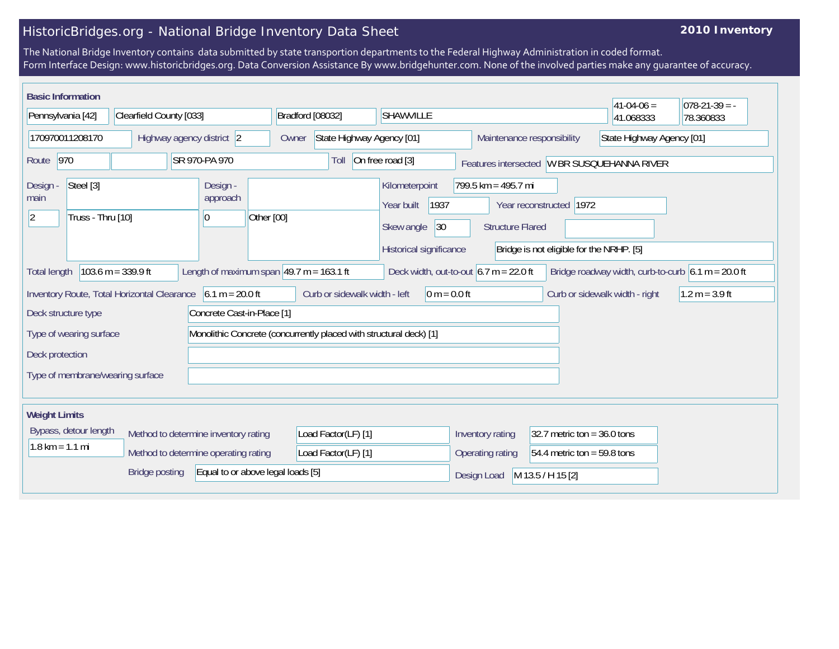## HistoricBridges.org - National Bridge Inventory Data Sheet

## **2010 Inventory**

The National Bridge Inventory contains data submitted by state transportion departments to the Federal Highway Administration in coded format. Form Interface Design: www.historicbridges.org. Data Conversion Assistance By www.bridgehunter.com. None of the involved parties make any guarantee of accuracy.

| <b>Basic Information</b>                                                                                                                                                                                      |                                      |                                          |                                    |                                                                                      |                                                  |                                                                     | $41 - 04 - 06 =$                            | $ 078-21-39  = -$ |
|---------------------------------------------------------------------------------------------------------------------------------------------------------------------------------------------------------------|--------------------------------------|------------------------------------------|------------------------------------|--------------------------------------------------------------------------------------|--------------------------------------------------|---------------------------------------------------------------------|---------------------------------------------|-------------------|
| Pennsylvania [42]                                                                                                                                                                                             | Clearfield County [033]              |                                          | Bradford [08032]                   | <b>SHAWVILLE</b>                                                                     |                                                  |                                                                     | 41.068333                                   | 78.360833         |
| 170970011208170<br>Highway agency district 2                                                                                                                                                                  |                                      |                                          | State Highway Agency [01]<br>Owner |                                                                                      | Maintenance responsibility                       |                                                                     | State Highway Agency [01]                   |                   |
| 970<br>Route                                                                                                                                                                                                  |                                      | SR 970-PA 970                            | Toll                               | On free road [3]                                                                     |                                                  |                                                                     | Features intersected W BR SUSQUEHANNA RIVER |                   |
| Steel [3]<br>Design<br>main<br>Truss - Thru [10]<br>12                                                                                                                                                        |                                      | Design -<br>approach<br>Other [00]<br> 0 |                                    | Kilometerpoint<br>1937<br>Year built<br>Skew angle<br> 30<br>Historical significance | $799.5$ km = 495.7 mi<br><b>Structure Flared</b> | Year reconstructed 1972<br>Bridge is not eligible for the NRHP. [5] |                                             |                   |
| $103.6 m = 339.9 ft$<br>Length of maximum span $49.7$ m = 163.1 ft<br>Deck width, out-to-out $6.7 \text{ m} = 22.0 \text{ ft}$<br>Bridge roadway width, curb-to-curb $6.1 m = 20.0 ft$<br><b>Total length</b> |                                      |                                          |                                    |                                                                                      |                                                  |                                                                     |                                             |                   |
| Inventory Route, Total Horizontal Clearance 6.1 m = 20.0 ft<br>Curb or sidewalk width - left<br>$1.2 m = 3.9 ft$<br>$ 0 m = 0.0 ft$<br>Curb or sidewalk width - right                                         |                                      |                                          |                                    |                                                                                      |                                                  |                                                                     |                                             |                   |
| Concrete Cast-in-Place [1]<br>Deck structure type                                                                                                                                                             |                                      |                                          |                                    |                                                                                      |                                                  |                                                                     |                                             |                   |
| Monolithic Concrete (concurrently placed with structural deck) [1]<br>Type of wearing surface                                                                                                                 |                                      |                                          |                                    |                                                                                      |                                                  |                                                                     |                                             |                   |
| Deck protection                                                                                                                                                                                               |                                      |                                          |                                    |                                                                                      |                                                  |                                                                     |                                             |                   |
| Type of membrane/wearing surface                                                                                                                                                                              |                                      |                                          |                                    |                                                                                      |                                                  |                                                                     |                                             |                   |
| <b>Weight Limits</b>                                                                                                                                                                                          |                                      |                                          |                                    |                                                                                      |                                                  |                                                                     |                                             |                   |
| Bypass, detour length                                                                                                                                                                                         | Method to determine inventory rating |                                          | Load Factor(LF) [1]                |                                                                                      | Inventory rating                                 | 32.7 metric ton = $36.0$ tons                                       |                                             |                   |
| $1.8$ km = 1.1 mi                                                                                                                                                                                             |                                      | Method to determine operating rating     | Load Factor(LF) [1]                |                                                                                      | Operating rating                                 | 54.4 metric ton = 59.8 tons                                         |                                             |                   |
|                                                                                                                                                                                                               | <b>Bridge posting</b>                | Equal to or above legal loads [5]        |                                    |                                                                                      | Design Load                                      | M 13.5 / H 15 [2]                                                   |                                             |                   |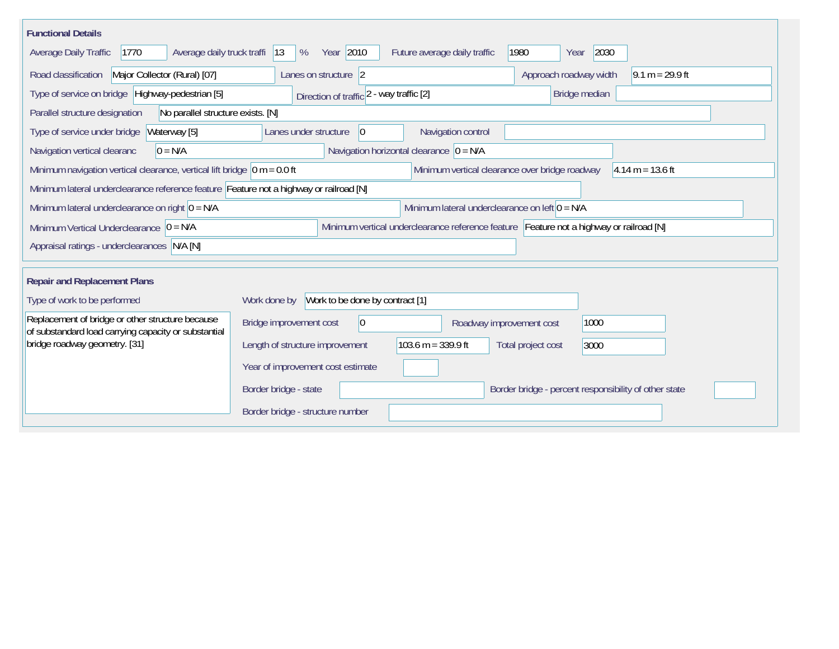| <b>Functional Details</b>                                                                                |                                                                    |                                                                                         |                                                       |                    |
|----------------------------------------------------------------------------------------------------------|--------------------------------------------------------------------|-----------------------------------------------------------------------------------------|-------------------------------------------------------|--------------------|
| 1770<br>Average daily truck traffi  13<br>Average Daily Traffic                                          | Year 2010<br>%                                                     | Future average daily traffic                                                            | 2030<br>1980<br>Year                                  |                    |
| Major Collector (Rural) [07]<br>Road classification                                                      | Lanes on structure 2                                               |                                                                                         | Approach roadway width                                | $9.1 m = 29.9 ft$  |
| Type of service on bridge Highway-pedestrian [5]                                                         | Direction of traffic 2 - way traffic [2]                           |                                                                                         | Bridge median                                         |                    |
| Parallel structure designation<br>No parallel structure exists. [N]                                      |                                                                    |                                                                                         |                                                       |                    |
| Waterway [5]<br>Type of service under bridge                                                             | Lanes under structure<br>$\overline{0}$                            | Navigation control                                                                      |                                                       |                    |
| $0 = N/A$<br>Navigation vertical clearanc                                                                |                                                                    | Navigation horizontal clearance $ 0 = N/A$                                              |                                                       |                    |
| Minimum navigation vertical clearance, vertical lift bridge $\vert$ 0 m = 0.0 ft                         |                                                                    | Minimum vertical clearance over bridge roadway                                          |                                                       | $4.14 m = 13.6 ft$ |
| Minimum lateral underclearance reference feature Feature not a highway or railroad [N]                   |                                                                    |                                                                                         |                                                       |                    |
| Minimum lateral underclearance on right $0 = N/A$                                                        |                                                                    | Minimum lateral underclearance on left $0 = N/A$                                        |                                                       |                    |
| Minimum Vertical Underclearance $ 0 = N/A$                                                               |                                                                    | Minimum vertical underclearance reference feature Feature not a highway or railroad [N] |                                                       |                    |
| Appraisal ratings - underclearances N/A [N]                                                              |                                                                    |                                                                                         |                                                       |                    |
|                                                                                                          |                                                                    |                                                                                         |                                                       |                    |
| <b>Repair and Replacement Plans</b>                                                                      |                                                                    |                                                                                         |                                                       |                    |
| Type of work to be performed                                                                             | Work to be done by contract [1]<br>Work done by                    |                                                                                         |                                                       |                    |
| Replacement of bridge or other structure because<br>of substandard load carrying capacity or substantial | Bridge improvement cost<br>1000<br> 0 <br>Roadway improvement cost |                                                                                         |                                                       |                    |
| bridge roadway geometry. [31]                                                                            | Length of structure improvement                                    | $103.6 m = 339.9 ft$                                                                    | Total project cost<br>3000                            |                    |
|                                                                                                          | Year of improvement cost estimate                                  |                                                                                         |                                                       |                    |
|                                                                                                          | Border bridge - state                                              |                                                                                         | Border bridge - percent responsibility of other state |                    |
|                                                                                                          | Border bridge - structure number                                   |                                                                                         |                                                       |                    |